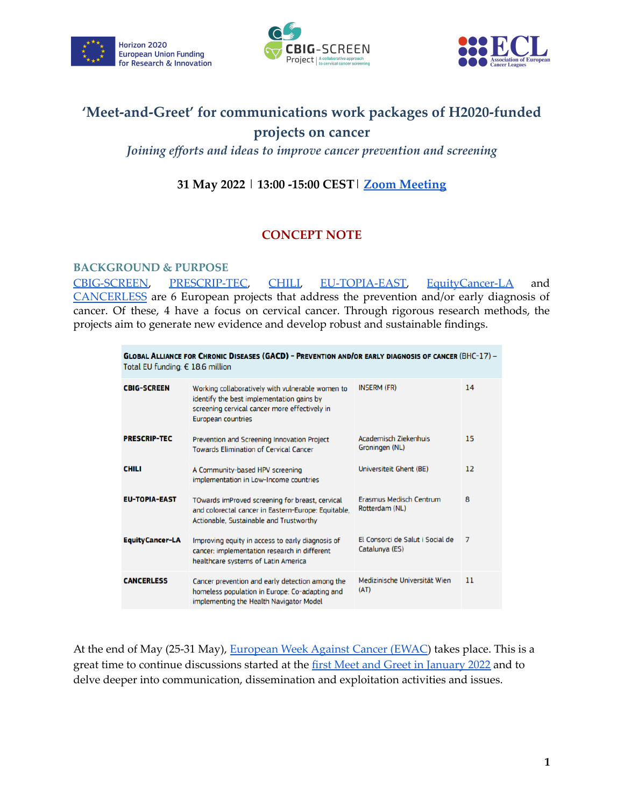





# **'Meet-and-Greet' for communications work packages of H2020-funded projects on cancer**

*Joining efforts and ideas to improve cancer prevention and screening*

## **31 May 2022** | **13:00 -15:00 CEST**| **[Zoom Meeting](https://us02web.zoom.us/meeting/register/tZ0vfumvrTMpEt2dEvrvfJqTlueM21C3eD_Q)**

## **CONCEPT NOTE**

#### **BACKGROUND & PURPOSE**

[CBIG-SCREEN,](https://cbig-screen.eu/) [PRESCRIP-TEC](https://cordis.europa.eu/project/id/964270), [CHILI,](https://cordis.europa.eu/project/id/964418) [EU-TOPIA-EAST](https://eu-topia-east.org/), [EquityCancer-LA](https://cordis.europa.eu/project/id/965226) and [CANCERLESS](https://cordis.europa.eu/project/id/965351) are 6 European projects that address the prevention and/or early diagnosis of cancer. Of these, 4 have a focus on cervical cancer. Through rigorous research methods, the projects aim to generate new evidence and develop robust and sustainable findings.

| <b>GLOBAL ALLIANCE FOR CHRONIC DISEASES (GACD) - PREVENTION AND/OR EARLY DIAGNOSIS OF CANCER (BHC-17) -</b><br>Total EU funding: $\epsilon$ 18.6 million |                                                                                                                                                                             |                                                    |    |
|----------------------------------------------------------------------------------------------------------------------------------------------------------|-----------------------------------------------------------------------------------------------------------------------------------------------------------------------------|----------------------------------------------------|----|
| <b>CBIG-SCREEN</b>                                                                                                                                       | Working collaboratively with vulnerable women to<br>identify the best implementation gains by<br>screening cervical cancer more effectively in<br><b>European countries</b> | <b>INSERM (FR)</b>                                 | 14 |
| <b>PRESCRIP-TEC</b>                                                                                                                                      | Prevention and Screening Innovation Project<br><b>Towards Elimination of Cervical Cancer</b>                                                                                | Academisch Ziekenhuis<br>Groningen (NL)            | 15 |
| <b>CHILI</b>                                                                                                                                             | A Community-based HPV screening<br>implementation in Low-Income countries                                                                                                   | Universiteit Ghent (BE)                            | 12 |
| <b>EU-TOPIA-EAST</b>                                                                                                                                     | TOwards imProved screening for breast, cervical<br>and colorectal cancer in Eastern-Europe: Equitable,<br>Actionable, Sustainable and Trustworthy                           | Erasmus Medisch Centrum<br>Rotterdam (NL)          | 8  |
| <b>EquityCancer-LA</b>                                                                                                                                   | Improving equity in access to early diagnosis of<br>cancer: implementation research in different<br>healthcare systems of Latin America                                     | El Consorci de Salut i Social de<br>Catalunya (ES) | 7  |
| <b>CANCERLESS</b>                                                                                                                                        | Cancer prevention and early detection among the<br>homeless population in Europe: Co-adapting and<br>implementing the Health Navigator Model                                | Medizinische Universität Wien<br>(AT)              | 11 |

At the end of May (25-31 May), [European](https://www.cancer.eu/european-week-against-cancer-2022/) Week Against Cancer (EWAC) takes place. This is a great time to continue discussions started at the first Meet and Greet in [January](https://drive.google.com/drive/folders/1XiHhoeGj9hSJ6VA0qzBKVqZWJeOizJFn?usp=sharing) 2022 and to delve deeper into communication, dissemination and exploitation activities and issues.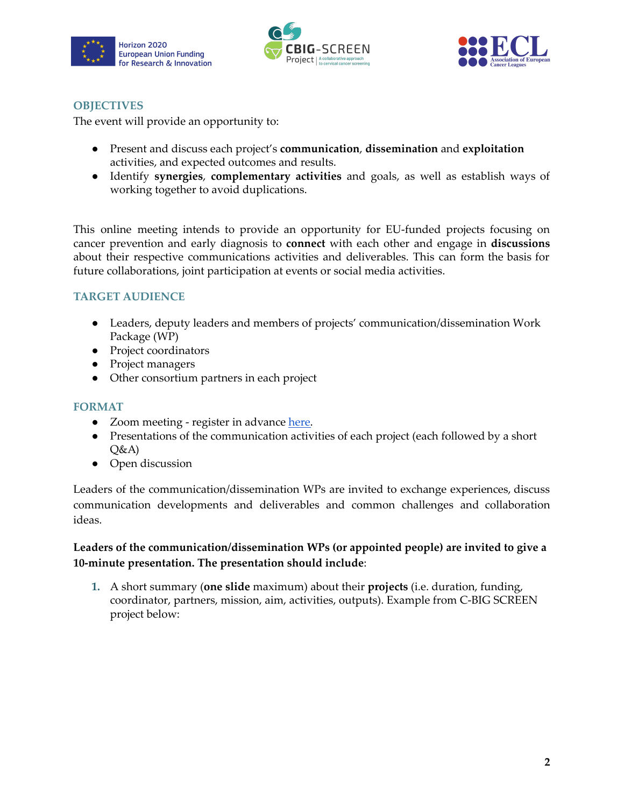





### **OBJECTIVES**

The event will provide an opportunity to:

- Present and discuss each project's **communication**, **dissemination** and **exploitation** activities, and expected outcomes and results.
- Identify **synergies**, **complementary activities** and goals, as well as establish ways of working together to avoid duplications.

This online meeting intends to provide an opportunity for EU-funded projects focusing on cancer prevention and early diagnosis to **connect** with each other and engage in **discussions** about their respective communications activities and deliverables. This can form the basis for future collaborations, joint participation at events or social media activities.

## **TARGET AUDIENCE**

- Leaders, deputy leaders and members of projects' communication/dissemination Work Package (WP)
- Project coordinators
- Project managers
- Other consortium partners in each project

#### **FORMAT**

- Zoom meeting register in advance [here.](https://us02web.zoom.us/meeting/register/tZ0vfumvrTMpEt2dEvrvfJqTlueM21C3eD_Q)
- Presentations of the communication activities of each project (each followed by a short  $O&A$
- Open discussion

Leaders of the communication/dissemination WPs are invited to exchange experiences, discuss communication developments and deliverables and common challenges and collaboration ideas.

### **Leaders of the communication/dissemination WPs (or appointed people) are invited to give a 10-minute presentation. The presentation should include**:

**1.** A short summary (**one slide** maximum) about their **projects** (i.e. duration, funding, coordinator, partners, mission, aim, activities, outputs). Example from C-BIG SCREEN project below: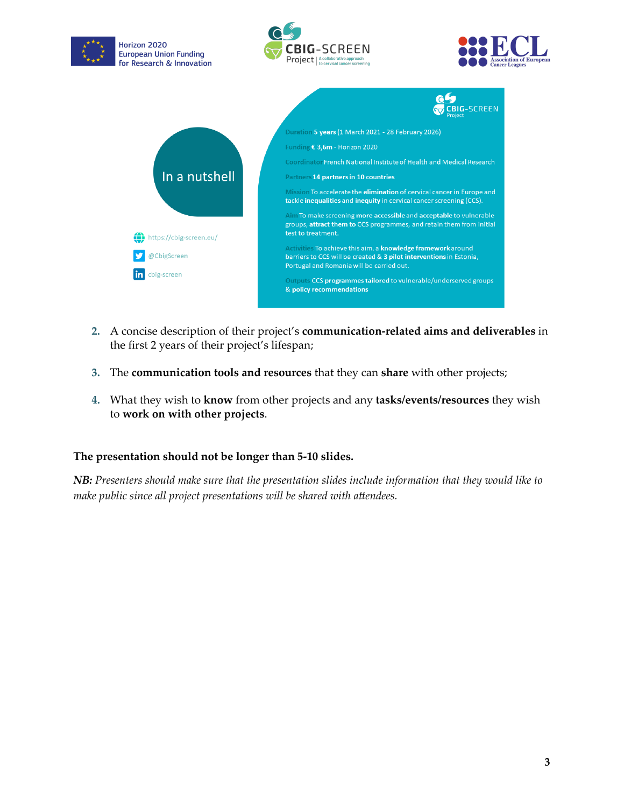

- **2.** A concise description of their project's **communication-related aims and deliverables** in the first 2 years of their project's lifespan;
- **3.** The **communication tools and resources** that they can **share** with other projects;
- **4.** What they wish to **know** from other projects and any **tasks/events/resources** they wish to **work on with other projects**.

### **The presentation should not be longer than 5-10 slides.**

*NB: Presenters should make sure that the presentation slides include information that they would like to make public since all project presentations will be shared with attendees.*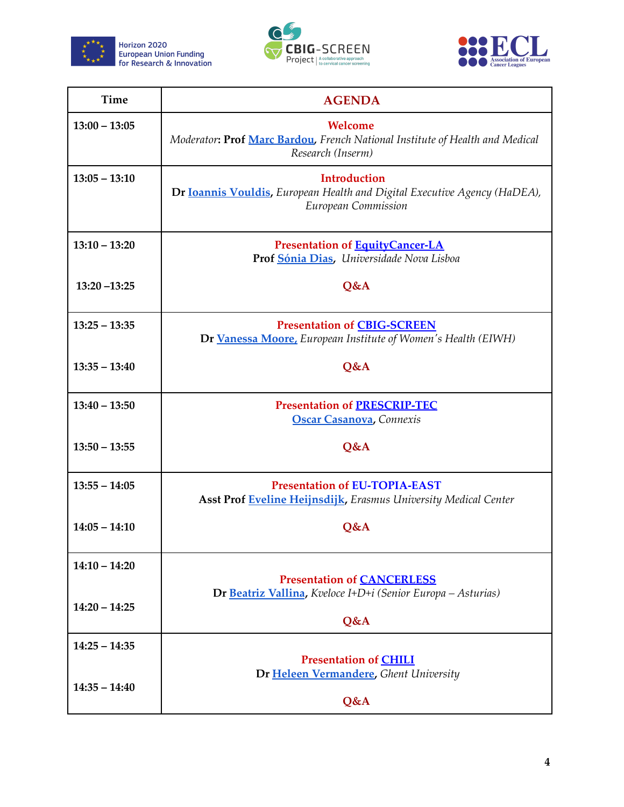





| Time            | <b>AGENDA</b>                                                                                                           |  |
|-----------------|-------------------------------------------------------------------------------------------------------------------------|--|
| $13:00 - 13:05$ | Welcome<br>Moderator: Prof Marc Bardou, French National Institute of Health and Medical<br>Research (Inserm)            |  |
| $13:05 - 13:10$ | <b>Introduction</b><br>Dr Ioannis Vouldis, European Health and Digital Executive Agency (HaDEA),<br>European Commission |  |
| $13:10 - 13:20$ | <b>Presentation of EquityCancer-LA</b><br>Prof Sónia Dias, Universidade Nova Lisboa                                     |  |
| $13:20 - 13:25$ | Q&A                                                                                                                     |  |
| $13:25 - 13:35$ | <b>Presentation of CBIG-SCREEN</b><br>Dr Vanessa Moore, European Institute of Women's Health (EIWH)                     |  |
| $13:35 - 13:40$ | <b>O&amp;A</b>                                                                                                          |  |
| $13:40 - 13:50$ | <b>Presentation of PRESCRIP-TEC</b><br><b>Oscar Casanova</b> , Connexis                                                 |  |
| $13:50 - 13:55$ | Q&A                                                                                                                     |  |
| $13:55 - 14:05$ | <b>Presentation of EU-TOPIA-EAST</b><br>Asst Prof Eveline Heijnsdijk, Erasmus University Medical Center                 |  |
| $14:05 - 14:10$ | Q&A                                                                                                                     |  |
| $14:10 - 14:20$ | <b>Presentation of CANCERLESS</b>                                                                                       |  |
| $14:20 - 14:25$ | Dr Beatriz Vallina, Kveloce I+D+i (Senior Europa - Asturias)<br>Q&A                                                     |  |
| $14:25 - 14:35$ | <b>Presentation of CHILI</b>                                                                                            |  |
| $14:35 - 14:40$ | Dr Heleen Vermandere, Ghent University<br>Q&A                                                                           |  |